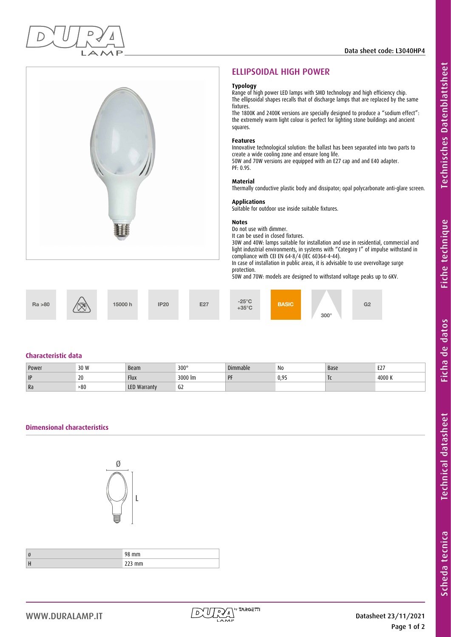

# ELLIPSOIDAL HIGH POWER

#### **Typology**

Range of high power LED lamps with SMD technology and high efficiency chip. The ellipsoidal shapes recalls that of discharge lamps that are replaced by the same fixtures.

The 1800K and 2400K versions are specially designed to produce a "sodium effect": the extremely warm light colour is perfect for lighting stone buildings and ancient squares.

#### **Features**

Innovative technological solution: the ballast has been separated into two parts to create a wide cooling zone and ensure long life. 50W and 70W versions are equipped with an E27 cap and and E40 adapter. PF: 0.95.

#### **Material**

Thermally conductive plastic body and dissipator; opal polycarbonate anti-glare screen.

#### **Applications**

Suitable for outdoor use inside suitable fixtures.

#### **Notes**

Do not use with dimmer.

It can be used in closed fixtures. 30W and 40W: lamps suitable for installation and use in residential, commercial and light industrial environments, in systems with "Category I" of impulse withstand in compliance with CEI EN 64-8/4 (IEC 60364-4-44).

In case of installation in public areas, it is advisable to use overvoltage surge protection.

50W and 70W: models are designed to withstand voltage peaks up to 6KV.

 $15000 \text{ h}$  IP20 E27  $+35^{\circ} \text{C}$ 

Ra >80  $\sqrt{\sin}$  15000 h IP20 E27  $\frac{25}{25}$  BASIC 300° E27  $-25^{\circ}$ C BASIC 62

# **Characteristic data**

| Power | 30 W | Beam                | $300^\circ$         | Dimmable | N0<br>and the control of | Base                     | <b>E27</b><br>L <i>L</i> |
|-------|------|---------------------|---------------------|----------|--------------------------|--------------------------|--------------------------|
| P     | 20   | <b>Flux</b>         | $3000 \, \text{Im}$ | PF       | 0.95                     | $\overline{\phantom{a}}$ | 4000 K                   |
| Ra    | -80  | <b>LED Warranty</b> | υZ                  |          |                          |                          |                          |

# **Dimensional characteristics**



| Ø | $\sim$<br>mm<br>u<br>- |
|---|------------------------|
| H | r<br>ZZJ IIIII         |



Scheda tecnica